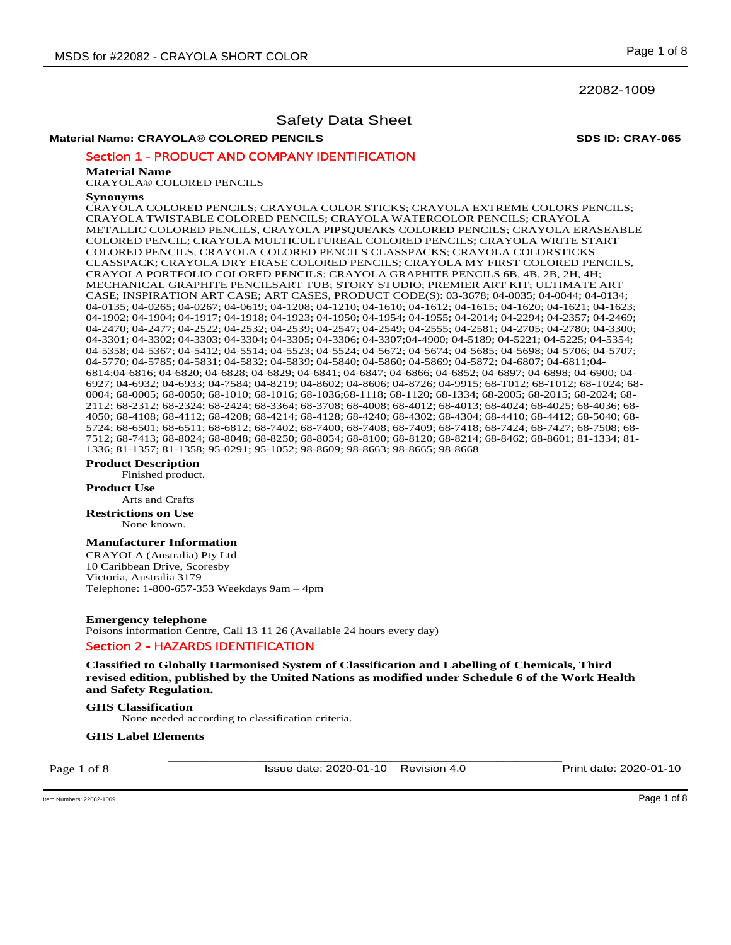22082-1009

## Safety Data Sheet

### **Material Name: CRAYOLA® COLORED PENCILS SDS ID: CRAY-065**

### Section 1 - PRODUCT AND COMPANY IDENTIFICATION

#### **Material Name**

CRAYOLA® COLORED PENCILS

#### **Synonyms**

CRAYOLA COLORED PENCILS; CRAYOLA COLOR STICKS; CRAYOLA EXTREME COLORS PENCILS; CRAYOLA TWISTABLE COLORED PENCILS; CRAYOLA WATERCOLOR PENCILS; CRAYOLA METALLIC COLORED PENCILS, CRAYOLA PIPSQUEAKS COLORED PENCILS; CRAYOLA ERASEABLE COLORED PENCIL; CRAYOLA MULTICULTUREAL COLORED PENCILS; CRAYOLA WRITE START COLORED PENCILS, CRAYOLA COLORED PENCILS CLASSPACKS; CRAYOLA COLORSTICKS CLASSPACK; CRAYOLA DRY ERASE COLORED PENCILS; CRAYOLA MY FIRST COLORED PENCILS, CRAYOLA PORTFOLIO COLORED PENCILS; CRAYOLA GRAPHITE PENCILS 6B, 4B, 2B, 2H, 4H; MECHANICAL GRAPHITE PENCILSART TUB; STORY STUDIO; PREMIER ART KIT; ULTIMATE ART CASE; INSPIRATION ART CASE; ART CASES, PRODUCT CODE(S): 03-3678; 04-0035; 04-0044; 04-0134; 04-0135; 04-0265; 04-0267; 04-0619; 04-1208; 04-1210; 04-1610; 04-1612; 04-1615; 04-1620; 04-1621; 04-1623; 04-1902; 04-1904; 04-1917; 04-1918; 04-1923; 04-1950; 04-1954; 04-1955; 04-2014; 04-2294; 04-2357; 04-2469; 04-2470; 04-2477; 04-2522; 04-2532; 04-2539; 04-2547; 04-2549; 04-2555; 04-2581; 04-2705; 04-2780; 04-3300; 04-3301; 04-3302; 04-3303; 04-3304; 04-3305; 04-3306; 04-3307;04-4900; 04-5189; 04-5221; 04-5225; 04-5354; 04-5358; 04-5367; 04-5412; 04-5514; 04-5523; 04-5524; 04-5672; 04-5674; 04-5685; 04-5698; 04-5706; 04-5707; 04-5770; 04-5785; 04-5831; 04-5832; 04-5839; 04-5840; 04-5860; 04-5869; 04-5872; 04-6807; 04-6811;04- 6814;04-6816; 04-6820; 04-6828; 04-6829; 04-6841; 04-6847; 04-6866; 04-6852; 04-6897; 04-6898; 04-6900; 04- 6927; 04-6932; 04-6933; 04-7584; 04-8219; 04-8602; 04-8606; 04-8726; 04-9915; 68-T012; 68-T012; 68-T024; 68- 0004; 68-0005; 68-0050; 68-1010; 68-1016; 68-1036;68-1118; 68-1120; 68-1334; 68-2005; 68-2015; 68-2024; 68- 2112; 68-2312; 68-2324; 68-2424; 68-3364; 68-3708; 68-4008; 68-4012; 68-4013; 68-4024; 68-4025; 68-4036; 68- 4050; 68-4108; 68-4112; 68-4208; 68-4214; 68-4128; 68-4240; 68-4302; 68-4304; 68-4410; 68-4412; 68-5040; 68- 5724; 68-6501; 68-6511; 68-6812; 68-7402; 68-7400; 68-7408; 68-7409; 68-7418; 68-7424; 68-7427; 68-7508; 68- 7512; 68-7413; 68-8024; 68-8048; 68-8250; 68-8054; 68-8100; 68-8120; 68-8214; 68-8462; 68-8601; 81-1334; 81- 1336; 81-1357; 81-1358; 95-0291; 95-1052; 98-8609; 98-8663; 98-8665; 98-8668

#### **Product Description**

Finished product.

#### **Product Use**

Arts and Crafts

**Restrictions on Use** None known.

### **Manufacturer Information**

CRAYOLA (Australia) Pty Ltd 10 Caribbean Drive, Scoresby Victoria, Australia 3179 Telephone: 1-800-657-353 Weekdays 9am – 4pm

**Emergency telephone**  Poisons information Centre, Call 13 11 26 (Available 24 hours every day) Section 2 - HAZARDS IDENTIFICATION

**Classified to Globally Harmonised System of Classification and Labelling of Chemicals, Third revised edition, published by the United Nations as modified under Schedule 6 of the Work Health and Safety Regulation.** 

#### **GHS Classification**

None needed according to classification criteria.

#### **GHS Label Elements**

Page 1 of 8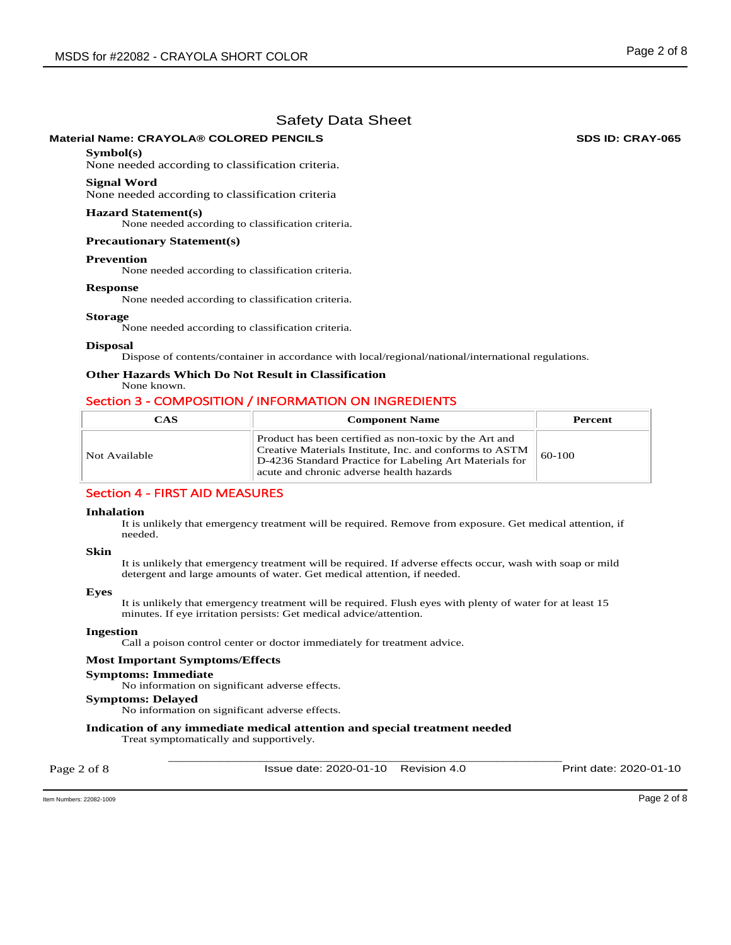### **Material Name: CRAYOLA® COLORED PENCILS SDS ID: CRAY-065**

#### **Symbol(s)**

None needed according to classification criteria.

#### **Signal Word**

None needed according to classification criteria

#### **Hazard Statement(s)**

None needed according to classification criteria.

#### **Precautionary Statement(s)**

#### **Prevention**

None needed according to classification criteria.

#### **Response**

None needed according to classification criteria.

#### **Storage**

None needed according to classification criteria.

#### **Disposal**

Dispose of contents/container in accordance with local/regional/national/international regulations.

### **Other Hazards Which Do Not Result in Classification**

### None known.

### Section 3 - COMPOSITION / INFORMATION ON INGREDIENTS

| CAS           | <b>Component Name</b>                                                                                                                                                                                                    | Percent  |
|---------------|--------------------------------------------------------------------------------------------------------------------------------------------------------------------------------------------------------------------------|----------|
| Not Available | Product has been certified as non-toxic by the Art and<br>Creative Materials Institute, Inc. and conforms to ASTM<br>D-4236 Standard Practice for Labeling Art Materials for<br>acute and chronic adverse health hazards | $60-100$ |

### Section 4 - FIRST AID MEASURES

#### **Inhalation**

It is unlikely that emergency treatment will be required. Remove from exposure. Get medical attention, if needed.

#### **Skin**

It is unlikely that emergency treatment will be required. If adverse effects occur, wash with soap or mild detergent and large amounts of water. Get medical attention, if needed.

#### **Eyes**

It is unlikely that emergency treatment will be required. Flush eyes with plenty of water for at least 15 minutes. If eye irritation persists: Get medical advice/attention.

#### **Ingestion**

Call a poison control center or doctor immediately for treatment advice.

#### **Most Important Symptoms/Effects**

#### **Symptoms: Immediate**

No information on significant adverse effects.

#### **Symptoms: Delayed**

No information on significant adverse effects.

### **Indication of any immediate medical attention and special treatment needed**

Treat symptomatically and supportively.

Page 2 of 8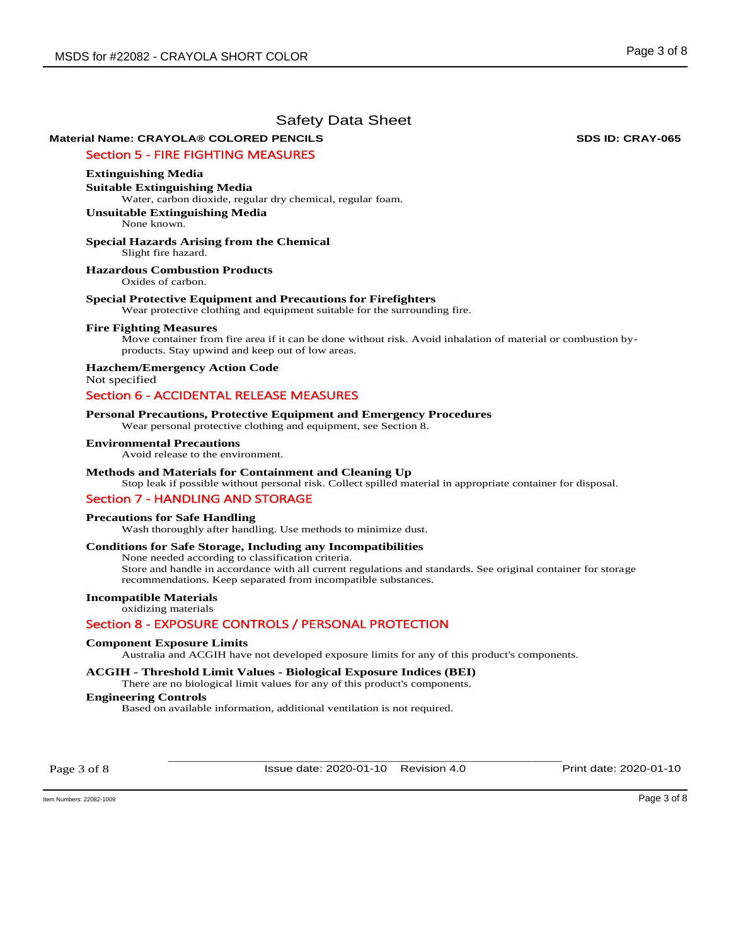# **Material Name: CRAYOLA® COLORED PENCILS SDS ID: CRAY-065**

### Section 5 - FIRE FIGHTING MEASURES

#### **Extinguishing Media**

**Suitable Extinguishing Media**  Water, carbon dioxide, regular dry chemical, regular foam.

**Unsuitable Extinguishing Media** None known.

#### **Special Hazards Arising from the Chemical**  Slight fire hazard.

**Hazardous Combustion Products** 

Oxides of carbon.

#### **Special Protective Equipment and Precautions for Firefighters**

Wear protective clothing and equipment suitable for the surrounding fire.

#### **Fire Fighting Measures**

Move container from fire area if it can be done without risk. Avoid inhalation of material or combustion byproducts. Stay upwind and keep out of low areas.

**Hazchem/Emergency Action Code**  Not specified

## Section 6 - ACCIDENTAL RELEASE MEASURES

#### **Personal Precautions, Protective Equipment and Emergency Procedures**

Wear personal protective clothing and equipment, see Section 8.

#### **Environmental Precautions**

Avoid release to the environment.

#### **Methods and Materials for Containment and Cleaning Up**

Stop leak if possible without personal risk. Collect spilled material in appropriate container for disposal.

#### Section 7 - HANDLING AND STORAGE

#### **Precautions for Safe Handling**

Wash thoroughly after handling. Use methods to minimize dust.

#### **Conditions for Safe Storage, Including any Incompatibilities**

None needed according to classification criteria. Store and handle in accordance with all current regulations and standards. See original container for storage

recommendations. Keep separated from incompatible substances.

### **Incompatible Materials**

oxidizing materials

#### Section 8 - EXPOSURE CONTROLS / PERSONAL PROTECTION

#### **Component Exposure Limits**

Australia and ACGIH have not developed exposure limits for any of this product's components.

#### **ACGIH - Threshold Limit Values - Biological Exposure Indices (BEI)**

There are no biological limit values for any of this product's components.

### **Engineering Controls**

Based on available information, additional ventilation is not required.

Page 3 of 8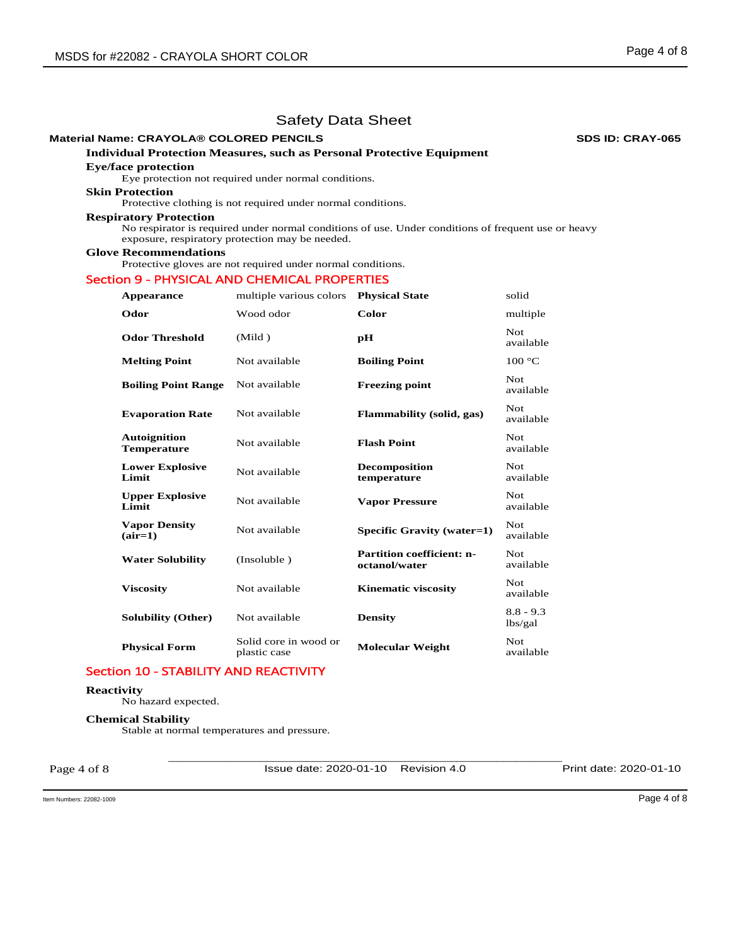### **Material Name: CRAYOLA® COLORED PENCILS SDS ID: CRAY-065**

### **Individual Protection Measures, such as Personal Protective Equipment**

### **Eye/face protection**

Eye protection not required under normal conditions.

# **Skin Protection**

Protective clothing is not required under normal conditions.

#### **Respiratory Protection**

No respirator is required under normal conditions of use. Under conditions of frequent use or heavy exposure, respiratory protection may be needed.

### **Glove Recommendations**

Protective gloves are not required under normal conditions.

### Section 9 - PHYSICAL AND CHEMICAL PROPERTIES

| Appearance                                | multiple various colors               | <b>Physical State</b>                             | solid                  |
|-------------------------------------------|---------------------------------------|---------------------------------------------------|------------------------|
| Odor                                      | Wood odor                             | Color                                             | multiple               |
| <b>Odor Threshold</b>                     | (Mild)                                | рH                                                | Not.<br>available      |
| <b>Melting Point</b>                      | Not available                         | <b>Boiling Point</b>                              | 100 °C                 |
| <b>Boiling Point Range</b>                | Not available                         | <b>Freezing point</b>                             | Not.<br>available      |
| <b>Evaporation Rate</b>                   | Not available                         | Flammability (solid, gas)                         | Not.<br>available      |
| <b>Autoignition</b><br><b>Temperature</b> | Not available                         | <b>Flash Point</b>                                | Not.<br>available      |
| <b>Lower Explosive</b><br>Limit           | Not available                         | <b>Decomposition</b><br>temperature               | Not.<br>available      |
| <b>Upper Explosive</b><br>Limit           | Not available                         | <b>Vapor Pressure</b>                             | Not<br>available       |
| <b>Vapor Density</b><br>$(air=1)$         | Not available                         | Specific Gravity (water=1)                        | Not.<br>available      |
| <b>Water Solubility</b>                   | (Insoluble)                           | <b>Partition coefficient: n-</b><br>octanol/water | Not.<br>available      |
| <b>Viscosity</b>                          | Not available                         | <b>Kinematic viscosity</b>                        | Not.<br>available      |
| <b>Solubility (Other)</b>                 | Not available                         | <b>Density</b>                                    | $8.8 - 9.3$<br>lbs/gal |
| <b>Physical Form</b>                      | Solid core in wood or<br>plastic case | <b>Molecular Weight</b>                           | Not.<br>available      |

### Section 10 - STABILITY AND REACTIVITY

### **Reactivity**

No hazard expected.

#### **Chemical Stability**

Stable at normal temperatures and pressure.

Page 4 of 8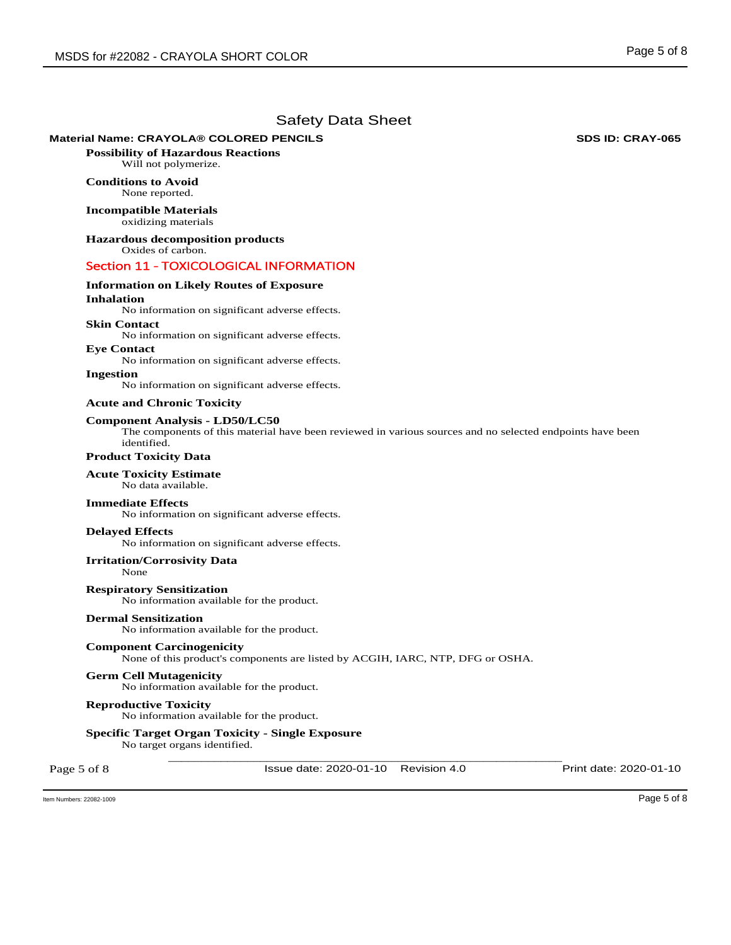### **Material Name: CRAYOLA® COLORED PENCILS SDS ID: CRAY-065**

**Possibility of Hazardous Reactions** Will not polymerize.

### **Conditions to Avoid** None reported.

**Incompatible Materials** oxidizing materials

**Hazardous decomposition products**  Oxides of carbon.

### Section 11 - TOXICOLOGICAL INFORMATION

# **Information on Likely Routes of Exposure**

### **Inhalation**

No information on significant adverse effects.

### **Skin Contact**

No information on significant adverse effects.

**Eye Contact**  No information on significant adverse effects.

## **Ingestion**

No information on significant adverse effects.

#### **Acute and Chronic Toxicity**

#### **Component Analysis - LD50/LC50**

The components of this material have been reviewed in various sources and no selected endpoints have been identified.

### **Product Toxicity Data**

#### **Acute Toxicity Estimate**

No data available.

#### **Immediate Effects**

No information on significant adverse effects.

#### **Delayed Effects**

No information on significant adverse effects.

#### **Irritation/Corrosivity Data**

None

**Respiratory Sensitization**  No information available for the product.

#### **Dermal Sensitization**

No information available for the product.

### **Component Carcinogenicity**

None of this product's components are listed by ACGIH, IARC, NTP, DFG or OSHA.

#### **Germ Cell Mutagenicity**

No information available for the product.

#### **Reproductive Toxicity**

No information available for the product.

#### **Specific Target Organ Toxicity - Single Exposure**

No target organs identified.

Page 5 of 8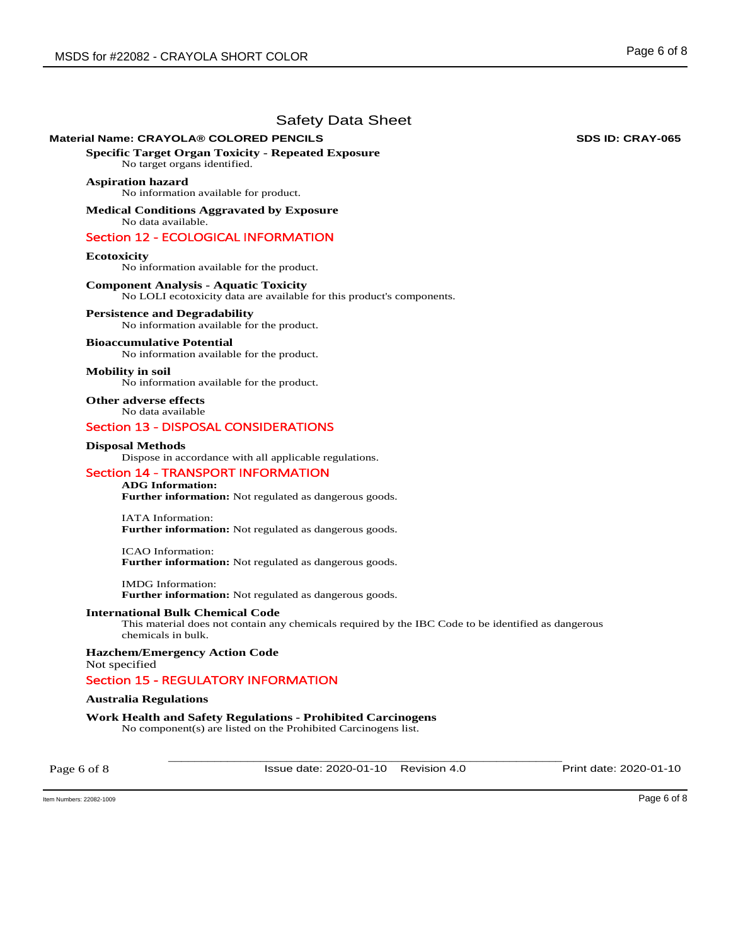### **Material Name: CRAYOLA® COLORED PENCILS SDS ID: CRAY-065**

**Specific Target Organ Toxicity - Repeated Exposure** 

No target organs identified.

### **Aspiration hazard**

No information available for product.

**Medical Conditions Aggravated by Exposure** No data available.

# Section 12 - ECOLOGICAL INFORMATION

#### **Ecotoxicity**

No information available for the product.

# **Component Analysis - Aquatic Toxicity**

No LOLI ecotoxicity data are available for this product's components.

### **Persistence and Degradability**

No information available for the product.

#### **Bioaccumulative Potential**

No information available for the product.

#### **Mobility in soil**

No information available for the product.

**Other adverse effects**  No data available

### Section 13 - DISPOSAL CONSIDERATIONS

#### **Disposal Methods**

Dispose in accordance with all applicable regulations.

### Section 14 - TRANSPORT INFORMATION

### **ADG Information:**

**Further information:** Not regulated as dangerous goods.

IATA Information: **Further information:** Not regulated as dangerous goods.

ICAO Information: **Further information:** Not regulated as dangerous goods.

IMDG Information: **Further information:** Not regulated as dangerous goods.

### **International Bulk Chemical Code**

This material does not contain any chemicals required by the IBC Code to be identified as dangerous chemicals in bulk.

**Hazchem/Emergency Action Code**  Not specified

### Section 15 - REGULATORY INFORMATION

#### **Australia Regulations**

**Work Health and Safety Regulations - Prohibited Carcinogens**  No component(s) are listed on the Prohibited Carcinogens list.

Page 6 of 8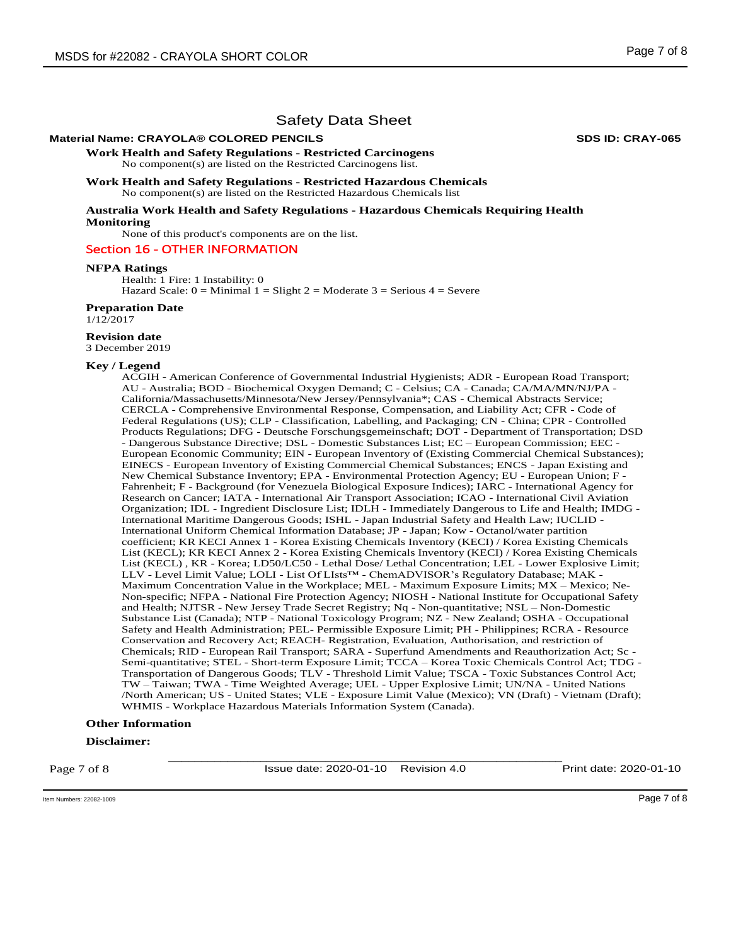### **Material Name: CRAYOLA® COLORED PENCILS SDS ID: CRAY-065**

**Work Health and Safety Regulations - Restricted Carcinogens**  No component(s) are listed on the Restricted Carcinogens list.

**Work Health and Safety Regulations - Restricted Hazardous Chemicals**  No component(s) are listed on the Restricted Hazardous Chemicals list

**Australia Work Health and Safety Regulations - Hazardous Chemicals Requiring Health Monitoring** 

None of this product's components are on the list.

#### Section 16 - OTHER INFORMATION

#### **NFPA Ratings**

Health: 1 Fire: 1 Instability: 0 Hazard Scale:  $0 =$  Minimal  $1 =$  Slight  $2 =$  Moderate  $3 =$  Serious  $4 =$  Severe

#### **Preparation Date**

1/12/2017

### **Revision date**

3 December 2019

#### **Key / Legend**

ACGIH - American Conference of Governmental Industrial Hygienists; ADR - European Road Transport; AU - Australia; BOD - Biochemical Oxygen Demand; C - Celsius; CA - Canada; CA/MA/MN/NJ/PA - California/Massachusetts/Minnesota/New Jersey/Pennsylvania\*; CAS - Chemical Abstracts Service; CERCLA - Comprehensive Environmental Response, Compensation, and Liability Act; CFR - Code of Federal Regulations (US); CLP - Classification, Labelling, and Packaging; CN - China; CPR - Controlled Products Regulations; DFG - Deutsche Forschungsgemeinschaft; DOT - Department of Transportation; DSD - Dangerous Substance Directive; DSL - Domestic Substances List; EC – European Commission; EEC - European Economic Community; EIN - European Inventory of (Existing Commercial Chemical Substances); EINECS - European Inventory of Existing Commercial Chemical Substances; ENCS - Japan Existing and New Chemical Substance Inventory; EPA - Environmental Protection Agency; EU - European Union; F - Fahrenheit; F - Background (for Venezuela Biological Exposure Indices); IARC - International Agency for Research on Cancer; IATA - International Air Transport Association; ICAO - International Civil Aviation Organization; IDL - Ingredient Disclosure List; IDLH - Immediately Dangerous to Life and Health; IMDG - International Maritime Dangerous Goods; ISHL - Japan Industrial Safety and Health Law; IUCLID - International Uniform Chemical Information Database; JP - Japan; Kow - Octanol/water partition coefficient; KR KECI Annex 1 - Korea Existing Chemicals Inventory (KECI) / Korea Existing Chemicals List (KECL); KR KECI Annex 2 - Korea Existing Chemicals Inventory (KECI) / Korea Existing Chemicals List (KECL) , KR - Korea; LD50/LC50 - Lethal Dose/ Lethal Concentration; LEL - Lower Explosive Limit; LLV - Level Limit Value; LOLI - List Of LIsts™ - ChemADVISOR's Regulatory Database; MAK - Maximum Concentration Value in the Workplace; MEL - Maximum Exposure Limits; MX – Mexico; Ne-Non-specific; NFPA - National Fire Protection Agency; NIOSH - National Institute for Occupational Safety and Health; NJTSR - New Jersey Trade Secret Registry; Nq - Non-quantitative; NSL – Non-Domestic Substance List (Canada); NTP - National Toxicology Program; NZ - New Zealand; OSHA - Occupational Safety and Health Administration; PEL- Permissible Exposure Limit; PH - Philippines; RCRA - Resource Conservation and Recovery Act; REACH- Registration, Evaluation, Authorisation, and restriction of Chemicals; RID - European Rail Transport; SARA - Superfund Amendments and Reauthorization Act; Sc - Semi-quantitative; STEL - Short-term Exposure Limit; TCCA – Korea Toxic Chemicals Control Act; TDG - Transportation of Dangerous Goods; TLV - Threshold Limit Value; TSCA - Toxic Substances Control Act; TW – Taiwan; TWA - Time Weighted Average; UEL - Upper Explosive Limit; UN/NA - United Nations /North American; US - United States; VLE - Exposure Limit Value (Mexico); VN (Draft) - Vietnam (Draft); WHMIS - Workplace Hazardous Materials Information System (Canada).

#### **Other Information**

#### **Disclaimer:**

Page 7 of 8

\_\_\_\_\_\_\_\_\_\_\_\_\_\_\_\_\_\_\_\_\_\_\_\_\_\_\_\_\_\_\_\_\_\_\_\_\_\_\_\_\_\_\_\_\_\_\_\_\_\_\_\_\_\_\_\_\_\_\_\_ Issue date: 2020-01-10 Revision 4.0 Print date: 2020-01-10

 $\blacksquare$  Item Numbers: 22082-1009  $\blacksquare$   $\blacksquare$   $\blacksquare$   $\blacksquare$   $\blacksquare$   $\blacksquare$   $\blacksquare$   $\blacksquare$   $\blacksquare$   $\blacksquare$   $\blacksquare$   $\blacksquare$   $\blacksquare$   $\blacksquare$   $\blacksquare$   $\blacksquare$   $\blacksquare$   $\blacksquare$   $\blacksquare$   $\blacksquare$   $\blacksquare$   $\blacksquare$   $\blacksquare$   $\blacksquare$   $\blacksquare$   $\blacksquare$   $\blacksquare$